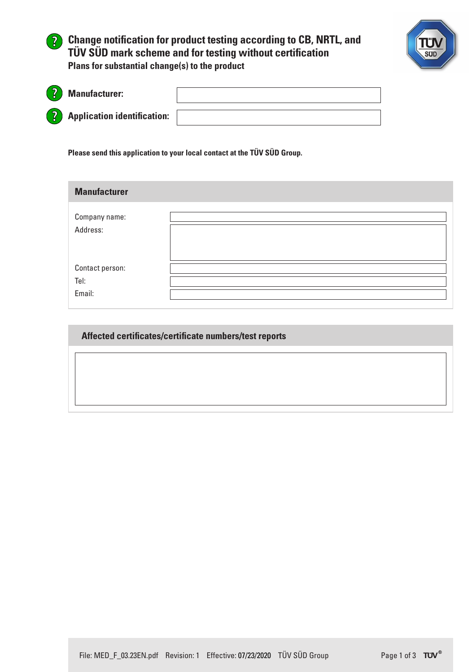



| <u>် ဦ</u> | <b>Manufacturer:</b>                 |  |
|------------|--------------------------------------|--|
|            | <b>2</b> Application identification: |  |

**Please send this application to your local contact at the TÜV SÜD Group.**

| <b>Manufacturer</b> |  |
|---------------------|--|
| Company name:       |  |
| Address:            |  |
|                     |  |
| Contact person:     |  |
| Tel:                |  |
| Email:              |  |

**Affected certificates/certificate numbers/test reports**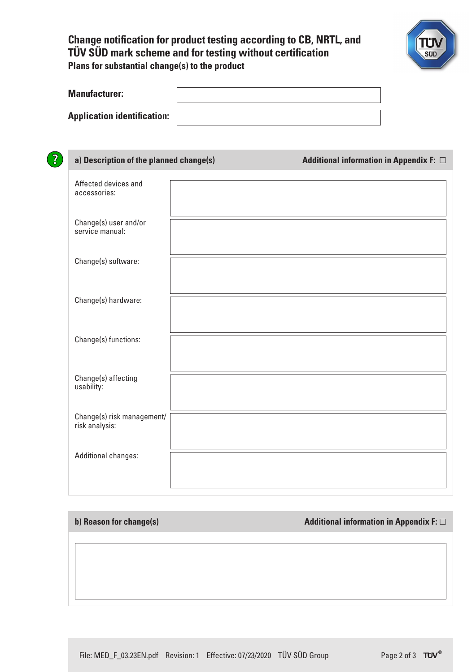## **Change notification for product testing according to CB, NRTL, and TÜV SÜD mark scheme and for testing without certification Plans for substantial change(s) to the product**



| <b>Manufacturer:</b>               |  |
|------------------------------------|--|
| <b>Application identification:</b> |  |

| a) Description of the planned change(s)      | Additional information in Appendix F: $\Box$ |  |
|----------------------------------------------|----------------------------------------------|--|
| Affected devices and<br>accessories:         |                                              |  |
| Change(s) user and/or<br>service manual:     |                                              |  |
| Change(s) software:                          |                                              |  |
| Change(s) hardware:                          |                                              |  |
| Change(s) functions:                         |                                              |  |
| Change(s) affecting<br>usability:            |                                              |  |
| Change(s) risk management/<br>risk analysis: |                                              |  |
| <b>Additional changes:</b>                   |                                              |  |
|                                              |                                              |  |

**b) Reason for change(s) Additional information in Appendix F:**  $\Box$